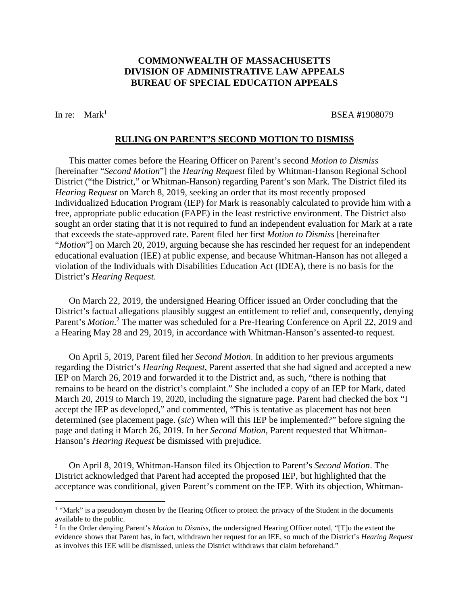# **COMMONWEALTH OF MASSACHUSETTS DIVISION OF ADMINISTRATIVE LAW APPEALS BUREAU OF SPECIAL EDUCATION APPEALS**

In re: Mark<sup>1</sup> BSEA #1908079

### **RULING ON PARENT'S SECOND MOTION TO DISMISS**

This matter comes before the Hearing Officer on Parent's second *Motion to Dismiss* [hereinafter "*Second Motion*"] the *Hearing Request* filed by Whitman-Hanson Regional School District ("the District," or Whitman-Hanson) regarding Parent's son Mark. The District filed its *Hearing Request* on March 8, 2019, seeking an order that its most recently proposed Individualized Education Program (IEP) for Mark is reasonably calculated to provide him with a free, appropriate public education (FAPE) in the least restrictive environment. The District also sought an order stating that it is not required to fund an independent evaluation for Mark at a rate that exceeds the state-approved rate. Parent filed her first *Motion to Dismiss* [hereinafter "*Motion*"] on March 20, 2019, arguing because she has rescinded her request for an independent educational evaluation (IEE) at public expense, and because Whitman-Hanson has not alleged a violation of the Individuals with Disabilities Education Act (IDEA), there is no basis for the District's *Hearing Request*.

On March 22, 2019, the undersigned Hearing Officer issued an Order concluding that the District's factual allegations plausibly suggest an entitlement to relief and, consequently, denying Parent's *Motion*.<sup>2</sup> The matter was scheduled for a Pre-Hearing Conference on April 22, 2019 and a Hearing May 28 and 29, 2019, in accordance with Whitman-Hanson's assented-to request.

On April 5, 2019, Parent filed her *Second Motion*. In addition to her previous arguments regarding the District's *Hearing Request*, Parent asserted that she had signed and accepted a new IEP on March 26, 2019 and forwarded it to the District and, as such, "there is nothing that remains to be heard on the district's complaint." She included a copy of an IEP for Mark, dated March 20, 2019 to March 19, 2020, including the signature page. Parent had checked the box "I accept the IEP as developed," and commented, "This is tentative as placement has not been determined (see placement page. (*sic*) When will this IEP be implemented?" before signing the page and dating it March 26, 2019. In her *Second Motion*, Parent requested that Whitman-Hanson's *Hearing Request* be dismissed with prejudice.

On April 8, 2019, Whitman-Hanson filed its Objection to Parent's *Second Motion*. The District acknowledged that Parent had accepted the proposed IEP, but highlighted that the acceptance was conditional, given Parent's comment on the IEP. With its objection, Whitman-

<sup>&</sup>lt;sup>1</sup> "Mark" is a pseudonym chosen by the Hearing Officer to protect the privacy of the Student in the documents available to the public.

<sup>2</sup> In the Order denying Parent's *Motion to Dismiss*, the undersigned Hearing Officer noted, "[T]o the extent the evidence shows that Parent has, in fact, withdrawn her request for an IEE, so much of the District's *Hearing Request* as involves this IEE will be dismissed, unless the District withdraws that claim beforehand."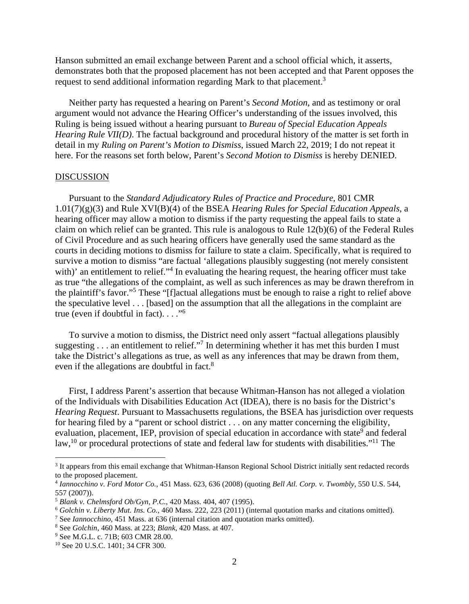Hanson submitted an email exchange between Parent and a school official which, it asserts, demonstrates both that the proposed placement has not been accepted and that Parent opposes the request to send additional information regarding Mark to that placement.<sup>3</sup>

Neither party has requested a hearing on Parent's *Second Motion*, and as testimony or oral argument would not advance the Hearing Officer's understanding of the issues involved, this Ruling is being issued without a hearing pursuant to *Bureau of Special Education Appeals Hearing Rule VII(D)*. The factual background and procedural history of the matter is set forth in detail in my *Ruling on Parent's Motion to Dismiss*, issued March 22, 2019; I do not repeat it here. For the reasons set forth below, Parent's *Second Motion to Dismiss* is hereby DENIED.

#### DISCUSSION

Pursuant to the *Standard Adjudicatory Rules of Practice and Procedure*, 801 CMR 1.01(7)(g)(3) and Rule XVI(B)(4) of the BSEA *Hearing Rules for Special Education Appeals*, a hearing officer may allow a motion to dismiss if the party requesting the appeal fails to state a claim on which relief can be granted. This rule is analogous to Rule 12(b)(6) of the Federal Rules of Civil Procedure and as such hearing officers have generally used the same standard as the courts in deciding motions to dismiss for failure to state a claim. Specifically, what is required to survive a motion to dismiss "are factual 'allegations plausibly suggesting (not merely consistent with)' an entitlement to relief."<sup>4</sup> In evaluating the hearing request, the hearing officer must take as true "the allegations of the complaint, as well as such inferences as may be drawn therefrom in the plaintiff's favor."<sup>5</sup> These "[f]actual allegations must be enough to raise a right to relief above the speculative level . . . [based] on the assumption that all the allegations in the complaint are true (even if doubtful in fact).  $\ldots$ ."<sup>6</sup>

To survive a motion to dismiss, the District need only assert "factual allegations plausibly suggesting  $\ldots$  an entitlement to relief."<sup>7</sup> In determining whether it has met this burden I must take the District's allegations as true, as well as any inferences that may be drawn from them, even if the allegations are doubtful in fact.<sup>8</sup>

First, I address Parent's assertion that because Whitman-Hanson has not alleged a violation of the Individuals with Disabilities Education Act (IDEA), there is no basis for the District's *Hearing Request*. Pursuant to Massachusetts regulations, the BSEA has jurisdiction over requests for hearing filed by a "parent or school district . . . on any matter concerning the eligibility, evaluation, placement, IEP, provision of special education in accordance with state<sup>9</sup> and federal law,<sup>10</sup> or procedural protections of state and federal law for students with disabilities."<sup>11</sup> The

<sup>&</sup>lt;sup>3</sup> It appears from this email exchange that Whitman-Hanson Regional School District initially sent redacted records to the proposed placement.

<sup>4</sup> *Iannocchino v. Ford Motor Co.*, 451 Mass. 623, 636 (2008) (quoting *Bell Atl. Corp. v. Twombly*, 550 U.S. 544, 557 (2007)).

<sup>5</sup> *Blank v. Chelmsford Ob/Gyn, P.C.*, 420 Mass. 404, 407 (1995).

<sup>6</sup> *Golchin v. Liberty Mut. Ins. Co.*, 460 Mass. 222, 223 (2011) (internal quotation marks and citations omitted).

<sup>7</sup> See *Iannocchino,* 451 Mass. at 636 (internal citation and quotation marks omitted).

<sup>8</sup> See *Golchin*, 460 Mass. at 223; *Blank*, 420 Mass. at 407.

<sup>9</sup> See M.G.L. c. 71B; 603 CMR 28.00.

<sup>10</sup> See 20 U.S.C. 1401; 34 CFR 300.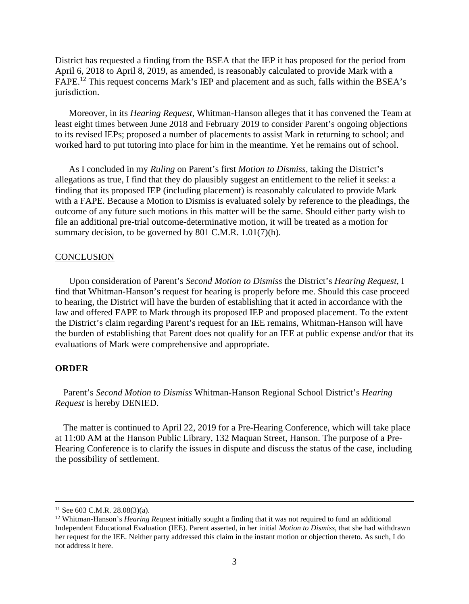District has requested a finding from the BSEA that the IEP it has proposed for the period from April 6, 2018 to April 8, 2019, as amended, is reasonably calculated to provide Mark with a FAPE.<sup>12</sup> This request concerns Mark's IEP and placement and as such, falls within the BSEA's jurisdiction.

Moreover, in its *Hearing Request*, Whitman-Hanson alleges that it has convened the Team at least eight times between June 2018 and February 2019 to consider Parent's ongoing objections to its revised IEPs; proposed a number of placements to assist Mark in returning to school; and worked hard to put tutoring into place for him in the meantime. Yet he remains out of school.

As I concluded in my *Ruling* on Parent's first *Motion to Dismiss*, taking the District's allegations as true, I find that they do plausibly suggest an entitlement to the relief it seeks: a finding that its proposed IEP (including placement) is reasonably calculated to provide Mark with a FAPE. Because a Motion to Dismiss is evaluated solely by reference to the pleadings, the outcome of any future such motions in this matter will be the same. Should either party wish to file an additional pre-trial outcome-determinative motion, it will be treated as a motion for summary decision, to be governed by 801 C.M.R. 1.01(7)(h).

# **CONCLUSION**

Upon consideration of Parent's *Second Motion to Dismiss* the District's *Hearing Request*, I find that Whitman-Hanson's request for hearing is properly before me. Should this case proceed to hearing, the District will have the burden of establishing that it acted in accordance with the law and offered FAPE to Mark through its proposed IEP and proposed placement. To the extent the District's claim regarding Parent's request for an IEE remains, Whitman-Hanson will have the burden of establishing that Parent does not qualify for an IEE at public expense and/or that its evaluations of Mark were comprehensive and appropriate.

## **ORDER**

Parent's *Second Motion to Dismiss* Whitman-Hanson Regional School District's *Hearing Request* is hereby DENIED.

The matter is continued to April 22, 2019 for a Pre-Hearing Conference, which will take place at 11:00 AM at the Hanson Public Library, 132 Maquan Street, Hanson. The purpose of a Pre-Hearing Conference is to clarify the issues in dispute and discuss the status of the case, including the possibility of settlement.

 $11$  See 603 C.M.R. 28.08(3)(a).

<sup>12</sup> Whitman-Hanson's *Hearing Request* initially sought a finding that it was not required to fund an additional Independent Educational Evaluation (IEE). Parent asserted, in her initial *Motion to Dismiss*, that she had withdrawn her request for the IEE. Neither party addressed this claim in the instant motion or objection thereto. As such, I do not address it here.